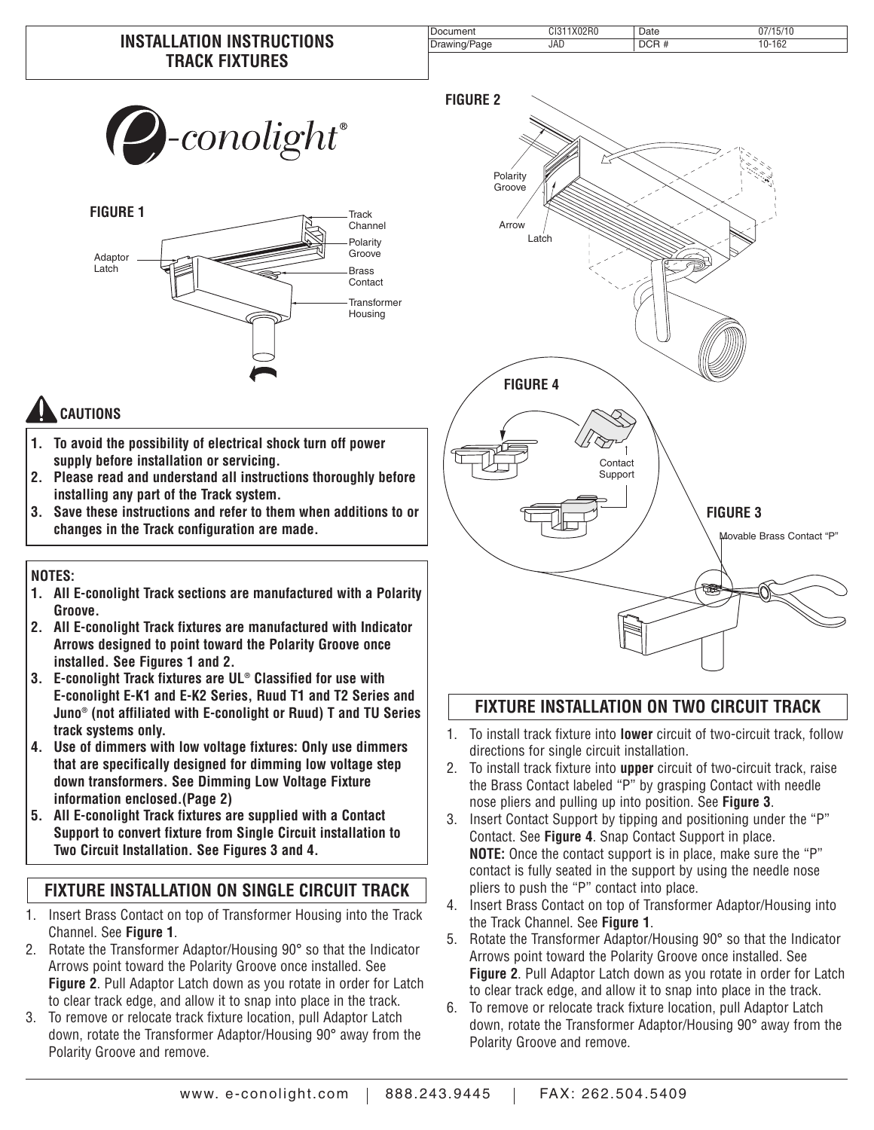| $\nu\text{-}conolight^*$ |  |
|--------------------------|--|
|                          |  |



# **CAUTIONS**

- **1. To avoid the possibility of electrical shock turn off power supply before installation or servicing.**
- **2. Please read and understand all instructions thoroughly before installing any part of the Track system.**
- **3. Save these instructions and refer to them when additions to or changes in the Track configuration are made.**

#### **NOTES:**

- **1. All E-conolight Track sections are manufactured with a Polarity Groove.**
- **2. All E-conolight Track fixtures are manufactured with Indicator Arrows designed to point toward the Polarity Groove once installed. See Figures 1 and 2.**
- **3. E-conolight Track fixtures are UL® Classified for use with E-conolight E-K1 and E-K2 Series, Ruud T1 and T2 Series and Juno® (not affiliated with E-conolight or Ruud) T and TU Series track systems only.**
- **4. Use of dimmers with low voltage fixtures: Only use dimmers that are specifically designed for dimming low voltage step down transformers. See Dimming Low Voltage Fixture information enclosed.(Page 2)**
- **5. All E-conolight Track fixtures are supplied with a Contact Support to convert fixture from Single Circuit installation to Two Circuit Installation. See Figures 3 and 4.**

### **FIXTURE INSTALLATION ON SINGLE CIRCUIT TRACK**

- 1. Insert Brass Contact on top of Transformer Housing into the Track Channel. See **Figure 1**.
- 2. Rotate the Transformer Adaptor/Housing 90° so that the Indicator Arrows point toward the Polarity Groove once installed. See **Figure 2**. Pull Adaptor Latch down as you rotate in order for Latch to clear track edge, and allow it to snap into place in the track.
- 3. To remove or relocate track fixture location, pull Adaptor Latch down, rotate the Transformer Adaptor/Housing 90° away from the Polarity Groove and remove.



## **FIXTURE INSTALLATION ON TWO CIRCUIT TRACK**

- 1. To install track fixture into **lower** circuit of two-circuit track, follow directions for single circuit installation.
- 2. To install track fixture into **upper** circuit of two-circuit track, raise the Brass Contact labeled "P" by grasping Contact with needle nose pliers and pulling up into position. See **Figure 3**.
- 3. Insert Contact Support by tipping and positioning under the "P" Contact. See **Figure 4**. Snap Contact Support in place. **NOTE:** Once the contact support is in place, make sure the "P" contact is fully seated in the support by using the needle nose pliers to push the "P" contact into place.
- 4. Insert Brass Contact on top of Transformer Adaptor/Housing into the Track Channel. See **Figure 1**.
- 5. Rotate the Transformer Adaptor/Housing 90° so that the Indicator Arrows point toward the Polarity Groove once installed. See **Figure 2**. Pull Adaptor Latch down as you rotate in order for Latch to clear track edge, and allow it to snap into place in the track.
- 6. To remove or relocate track fixture location, pull Adaptor Latch down, rotate the Transformer Adaptor/Housing 90° away from the Polarity Groove and remove.